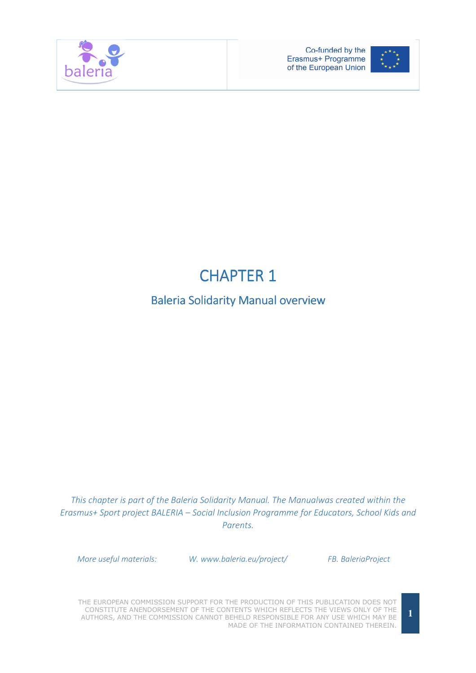



## **CHAPTER 1**

## Baleria Solidarity Manual overview

This chapter is part of the Baleria Solidarity Manual. The Manualwas created within the Erasmus+ Sport project BALERIA – Social Inclusion Programme for Educators, School Kids and Parents.

More useful materials: W. www.baleria.eu/project/ FB. BaleriaProject

THE EUROPEAN COMMISSION SUPPORT FOR THE PRODUCTION OF THIS PUBLICATION DOES NOT CONSTITUTE ANENDORSEMENT OF THE CONTENTS WHICH REFLECTS THE VIEWS ONLY OF THE AUTHORS, AND THE COMMISSION CANNOT BEHELD RESPONSIBLE FOR ANY USE WHICH MAY BE MADE OF THE INFORMATION CONTAINED THEREIN.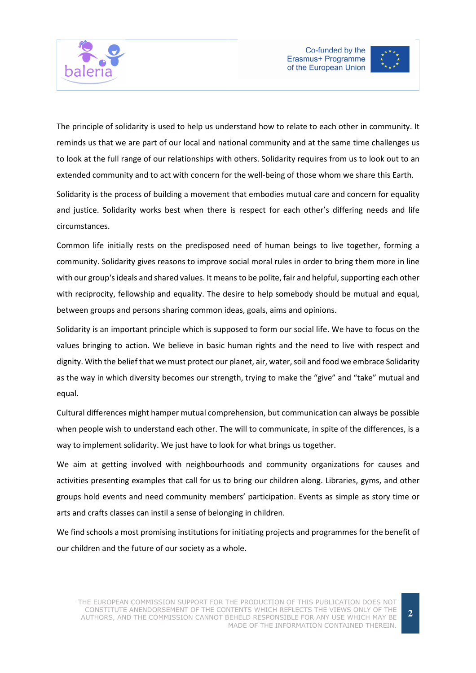



The principle of solidarity is used to help us understand how to relate to each other in community. It reminds us that we are part of our local and national community and at the same time challenges us to look at the full range of our relationships with others. Solidarity requires from us to look out to an extended community and to act with concern for the well-being of those whom we share this Earth.

Solidarity is the process of building a movement that embodies mutual care and concern for equality and justice. Solidarity works best when there is respect for each other's differing needs and life circumstances.

Common life initially rests on the predisposed need of human beings to live together, forming a community. Solidarity gives reasons to improve social moral rules in order to bring them more in line with our group's ideals and shared values. It means to be polite, fair and helpful, supporting each other with reciprocity, fellowship and equality. The desire to help somebody should be mutual and equal, between groups and persons sharing common ideas, goals, aims and opinions.

Solidarity is an important principle which is supposed to form our social life. We have to focus on the values bringing to action. We believe in basic human rights and the need to live with respect and dignity. With the belief that we must protect our planet, air, water, soil and food we embrace Solidarity as the way in which diversity becomes our strength, trying to make the "give" and "take" mutual and equal.

Cultural differences might hamper mutual comprehension, but communication can always be possible when people wish to understand each other. The will to communicate, in spite of the differences, is a way to implement solidarity. We just have to look for what brings us together.

We aim at getting involved with neighbourhoods and community organizations for causes and activities presenting examples that call for us to bring our children along. Libraries, gyms, and other groups hold events and need community members' participation. Events as simple as story time or arts and crafts classes can instil a sense of belonging in children.

We find schools a most promising institutions for initiating projects and programmes for the benefit of our children and the future of our society as a whole.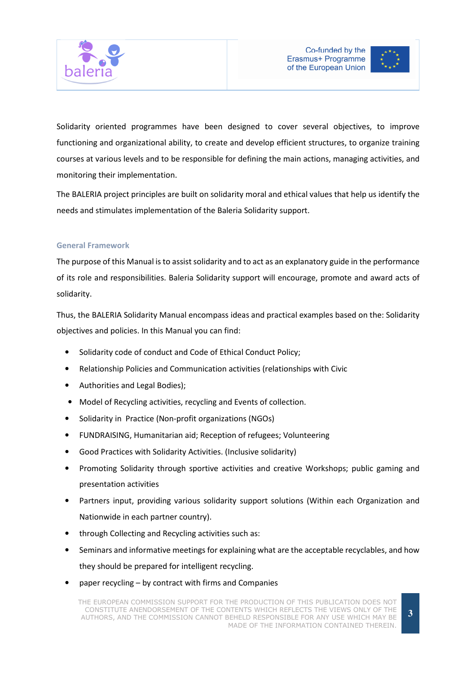



Solidarity oriented programmes have been designed to cover several objectives, to improve functioning and organizational ability, to create and develop efficient structures, to organize training courses at various levels and to be responsible for defining the main actions, managing activities, and monitoring their implementation.

The BALERIA project principles are built on solidarity moral and ethical values that help us identify the needs and stimulates implementation of the Baleria Solidarity support.

## General Framework

The purpose of this Manual is to assist solidarity and to act as an explanatory guide in the performance of its role and responsibilities. Baleria Solidarity support will encourage, promote and award acts of solidarity.

Thus, the BALERIA Solidarity Manual encompass ideas and practical examples based on the: Solidarity objectives and policies. In this Manual you can find:

- Solidarity code of conduct and Code of Ethical Conduct Policy;
- Relationship Policies and Communication activities (relationships with Civic
- Authorities and Legal Bodies);
- Model of Recycling activities, recycling and Events of collection.
- Solidarity in Practice (Non-profit organizations (NGOs)
- FUNDRAISING, Humanitarian aid; Reception of refugees; Volunteering
- Good Practices with Solidarity Activities. (Inclusive solidarity)
- Promoting Solidarity through sportive activities and creative Workshops; public gaming and presentation activities
- Partners input, providing various solidarity support solutions (Within each Organization and Nationwide in each partner country).
- through Collecting and Recycling activities such as:
- Seminars and informative meetings for explaining what are the acceptable recyclables, and how they should be prepared for intelligent recycling.
- paper recycling by contract with firms and Companies